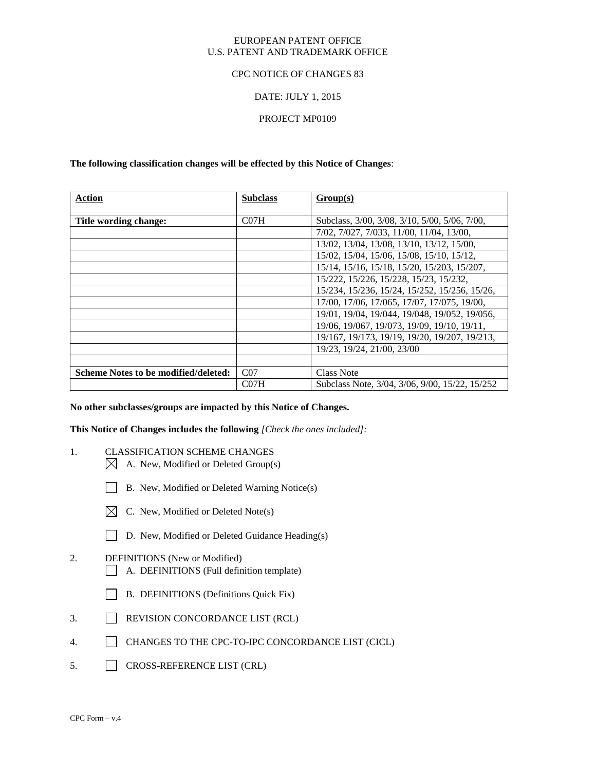### EUROPEAN PATENT OFFICE U.S. PATENT AND TRADEMARK OFFICE

### CPC NOTICE OF CHANGES 83

### DATE: JULY 1, 2015

### PROJECT MP0109

### **The following classification changes will be effected by this Notice of Changes**:

| <b>Action</b>                        | <b>Subclass</b>  | Group(s)                                       |
|--------------------------------------|------------------|------------------------------------------------|
|                                      |                  |                                                |
| Title wording change:                | CO <sub>7H</sub> | Subclass, 3/00, 3/08, 3/10, 5/00, 5/06, 7/00,  |
|                                      |                  | 7/02, 7/027, 7/033, 11/00, 11/04, 13/00,       |
|                                      |                  | 13/02, 13/04, 13/08, 13/10, 13/12, 15/00,      |
|                                      |                  | 15/02, 15/04, 15/06, 15/08, 15/10, 15/12,      |
|                                      |                  | 15/14, 15/16, 15/18, 15/20, 15/203, 15/207,    |
|                                      |                  | 15/222, 15/226, 15/228, 15/23, 15/232,         |
|                                      |                  | 15/234, 15/236, 15/24, 15/252, 15/256, 15/26,  |
|                                      |                  | 17/00, 17/06, 17/065, 17/07, 17/075, 19/00,    |
|                                      |                  | 19/01, 19/04, 19/044, 19/048, 19/052, 19/056,  |
|                                      |                  | 19/06, 19/067, 19/073, 19/09, 19/10, 19/11,    |
|                                      |                  | 19/167, 19/173, 19/19, 19/20, 19/207, 19/213,  |
|                                      |                  | 19/23, 19/24, 21/00, 23/00                     |
|                                      |                  |                                                |
| Scheme Notes to be modified/deleted: | CO <sub>7</sub>  | Class Note                                     |
|                                      | CO <sub>7H</sub> | Subclass Note, 3/04, 3/06, 9/00, 15/22, 15/252 |

#### **No other subclasses/groups are impacted by this Notice of Changes.**

#### **This Notice of Changes includes the following** *[Check the ones included]:*

- 1. CLASSIFICATION SCHEME CHANGES
	- $\boxtimes$  A. New, Modified or Deleted Group(s)
	- B. New, Modified or Deleted Warning Notice(s)
	- $\boxtimes$  C. New, Modified or Deleted Note(s)
	- D. New, Modified or Deleted Guidance Heading(s)
- 2. DEFINITIONS (New or Modified) A. DEFINITIONS (Full definition template)
	- B. DEFINITIONS (Definitions Quick Fix)
- 3. REVISION CONCORDANCE LIST (RCL)
- 4. CHANGES TO THE CPC-TO-IPC CONCORDANCE LIST (CICL)
- 5. CROSS-REFERENCE LIST (CRL)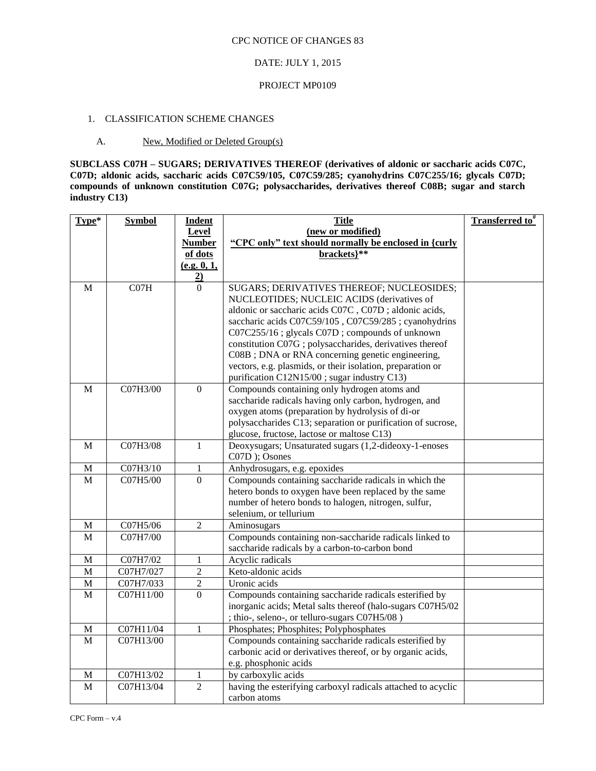### DATE: JULY 1, 2015

#### PROJECT MP0109

### 1. CLASSIFICATION SCHEME CHANGES

#### A. New, Modified or Deleted Group(s)

**SUBCLASS C07H – SUGARS; DERIVATIVES THEREOF (derivatives of aldonic or saccharic acids C07C, C07D; aldonic acids, saccharic acids C07C59/105, C07C59/285; cyanohydrins C07C255/16; glycals C07D; compounds of unknown constitution C07G; polysaccharides, derivatives thereof C08B; sugar and starch industry C13)** 

| Type*        | <b>Symbol</b>          | <b>Indent</b>                    | <b>Title</b>                                                                                                  | <b>Transferred to</b> <sup>#</sup> |
|--------------|------------------------|----------------------------------|---------------------------------------------------------------------------------------------------------------|------------------------------------|
|              |                        | Level                            | (new or modified)                                                                                             |                                    |
|              |                        | <b>Number</b>                    | "CPC only" text should normally be enclosed in {curly                                                         |                                    |
|              |                        | of dots                          | brackets}**                                                                                                   |                                    |
|              |                        | (e.g. 0, 1,                      |                                                                                                               |                                    |
|              |                        | $\overline{2}$                   |                                                                                                               |                                    |
| M            | CO7H                   | $\Omega$                         | SUGARS; DERIVATIVES THEREOF; NUCLEOSIDES;                                                                     |                                    |
|              |                        |                                  | NUCLEOTIDES; NUCLEIC ACIDS (derivatives of                                                                    |                                    |
|              |                        |                                  | aldonic or saccharic acids C07C, C07D; aldonic acids,<br>saccharic acids C07C59/105, C07C59/285; cyanohydrins |                                    |
|              |                        |                                  | C07C255/16 ; glycals C07D ; compounds of unknown                                                              |                                    |
|              |                        |                                  | constitution C07G; polysaccharides, derivatives thereof                                                       |                                    |
|              |                        |                                  | C08B; DNA or RNA concerning genetic engineering,                                                              |                                    |
|              |                        |                                  | vectors, e.g. plasmids, or their isolation, preparation or                                                    |                                    |
|              |                        |                                  | purification C12N15/00; sugar industry C13)                                                                   |                                    |
| M            | C07H3/00               | $\Omega$                         | Compounds containing only hydrogen atoms and                                                                  |                                    |
|              |                        |                                  | saccharide radicals having only carbon, hydrogen, and                                                         |                                    |
|              |                        |                                  | oxygen atoms (preparation by hydrolysis of di-or                                                              |                                    |
|              |                        |                                  | polysaccharides C13; separation or purification of sucrose,                                                   |                                    |
|              |                        |                                  | glucose, fructose, lactose or maltose C13)                                                                    |                                    |
| M            | C07H3/08               | $\mathbf{1}$                     | Deoxysugars; Unsaturated sugars (1,2-dideoxy-1-enoses                                                         |                                    |
|              |                        |                                  | C07D ); Osones                                                                                                |                                    |
| M            | C07H3/10               | 1                                | Anhydrosugars, e.g. epoxides                                                                                  |                                    |
| $\mathbf{M}$ | C07H5/00               | $\Omega$                         | Compounds containing saccharide radicals in which the                                                         |                                    |
|              |                        |                                  | hetero bonds to oxygen have been replaced by the same                                                         |                                    |
|              |                        |                                  | number of hetero bonds to halogen, nitrogen, sulfur,                                                          |                                    |
|              |                        |                                  | selenium, or tellurium                                                                                        |                                    |
| M            | C07H5/06               | $\mathfrak{2}$                   | Aminosugars                                                                                                   |                                    |
| M            | C07H7/00               |                                  | Compounds containing non-saccharide radicals linked to                                                        |                                    |
|              |                        |                                  | saccharide radicals by a carbon-to-carbon bond                                                                |                                    |
| M<br>M       | C07H7/02               | 1                                | Acyclic radicals<br>Keto-aldonic acids                                                                        |                                    |
| $\mathbf M$  | C07H7/027<br>C07H7/033 | $\overline{c}$<br>$\overline{2}$ | Uronic acids                                                                                                  |                                    |
| M            | C07H11/00              | $\mathbf{0}$                     | Compounds containing saccharide radicals esterified by                                                        |                                    |
|              |                        |                                  | inorganic acids; Metal salts thereof (halo-sugars C07H5/02                                                    |                                    |
|              |                        |                                  | ; thio-, seleno-, or telluro-sugars C07H5/08)                                                                 |                                    |
| $\mathbf M$  | C07H11/04              | $\mathbf{1}$                     | Phosphates; Phosphites; Polyphosphates                                                                        |                                    |
| $\mathbf{M}$ | C07H13/00              |                                  | Compounds containing saccharide radicals esterified by                                                        |                                    |
|              |                        |                                  | carbonic acid or derivatives thereof, or by organic acids,                                                    |                                    |
|              |                        |                                  | e.g. phosphonic acids                                                                                         |                                    |
| M            | C07H13/02              | 1                                | by carboxylic acids                                                                                           |                                    |
| M            | C07H13/04              | $\overline{2}$                   | having the esterifying carboxyl radicals attached to acyclic                                                  |                                    |
|              |                        |                                  | carbon atoms                                                                                                  |                                    |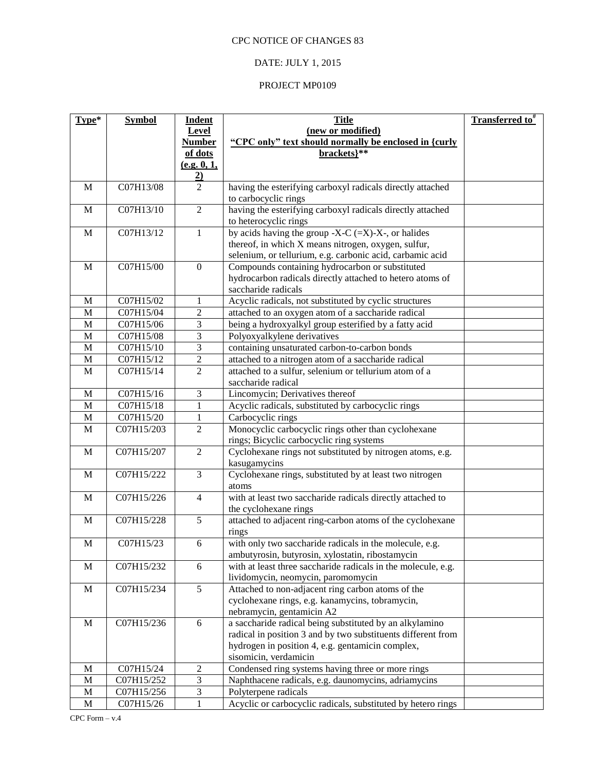## DATE: JULY 1, 2015

| Type*        | <b>Symbol</b>            | <b>Indent</b>                                | <b>Title</b>                                                                                                 | <b>Transferred to</b> # |
|--------------|--------------------------|----------------------------------------------|--------------------------------------------------------------------------------------------------------------|-------------------------|
|              |                          | Level                                        | (new or modified)                                                                                            |                         |
|              |                          | <b>Number</b>                                | "CPC only" text should normally be enclosed in {curly                                                        |                         |
|              |                          | of dots                                      | brackets}**                                                                                                  |                         |
|              |                          | (e.g. 0, 1,                                  |                                                                                                              |                         |
|              |                          | $\frac{2}{2}$                                |                                                                                                              |                         |
| M            | C07H13/08                |                                              | having the esterifying carboxyl radicals directly attached                                                   |                         |
|              |                          |                                              | to carbocyclic rings                                                                                         |                         |
| $\mathbf M$  | C07H13/10                | $\overline{2}$                               | having the esterifying carboxyl radicals directly attached                                                   |                         |
|              |                          |                                              | to heterocyclic rings                                                                                        |                         |
| $\mathbf{M}$ | C07H13/12                | $\mathbf{1}$                                 | by acids having the group -X-C $(=X)$ -X-, or halides<br>thereof, in which X means nitrogen, oxygen, sulfur, |                         |
|              |                          |                                              | selenium, or tellurium, e.g. carbonic acid, carbamic acid                                                    |                         |
| $\mathbf{M}$ | C07H15/00                | $\mathbf{0}$                                 | Compounds containing hydrocarbon or substituted                                                              |                         |
|              |                          |                                              | hydrocarbon radicals directly attached to hetero atoms of                                                    |                         |
|              |                          |                                              | saccharide radicals                                                                                          |                         |
| M            | C07H15/02                | 1                                            | Acyclic radicals, not substituted by cyclic structures                                                       |                         |
| M            | C07H15/04                | $\mathfrak{2}$                               | attached to an oxygen atom of a saccharide radical                                                           |                         |
| $\mathbf M$  | C07H15/06                | 3                                            | being a hydroxyalkyl group esterified by a fatty acid                                                        |                         |
| $\mathbf M$  | C07H15/08                | $\overline{\mathbf{3}}$                      | Polyoxyalkylene derivatives                                                                                  |                         |
| $\mathbf M$  | C07H15/10                | $\mathfrak{Z}$                               | containing unsaturated carbon-to-carbon bonds                                                                |                         |
| M            | C07H15/12                | $\sqrt{2}$                                   | attached to a nitrogen atom of a saccharide radical                                                          |                         |
| M            | C07H15/14                | $\overline{2}$                               | attached to a sulfur, selenium or tellurium atom of a                                                        |                         |
|              |                          |                                              | saccharide radical                                                                                           |                         |
| M            | C07H15/16                | $\mathfrak{Z}$                               | Lincomycin; Derivatives thereof                                                                              |                         |
| M            | C07H15/18                | $\mathbf{1}$                                 | Acyclic radicals, substituted by carbocyclic rings                                                           |                         |
| $\mathbf M$  | C07H15/20                | $\mathbf{1}$                                 | Carbocyclic rings                                                                                            |                         |
| M            | C07H15/203               | $\mathfrak{2}$                               | Monocyclic carbocyclic rings other than cyclohexane                                                          |                         |
|              |                          |                                              | rings; Bicyclic carbocyclic ring systems                                                                     |                         |
| M            | C07H15/207               | $\overline{2}$                               | Cyclohexane rings not substituted by nitrogen atoms, e.g.                                                    |                         |
|              |                          |                                              | kasugamycins                                                                                                 |                         |
| $\mathbf M$  | C07H15/222               | $\overline{3}$                               | Cyclohexane rings, substituted by at least two nitrogen                                                      |                         |
| $\mathbf M$  | C07H15/226               | $\overline{4}$                               | atoms<br>with at least two saccharide radicals directly attached to                                          |                         |
|              |                          |                                              | the cyclohexane rings                                                                                        |                         |
| $\mathbf M$  | C07H15/228               | 5                                            | attached to adjacent ring-carbon atoms of the cyclohexane                                                    |                         |
|              |                          |                                              | rings                                                                                                        |                         |
| $\mathbf M$  | C07H15/23                | 6                                            | with only two saccharide radicals in the molecule, e.g.                                                      |                         |
|              |                          |                                              | ambutyrosin, butyrosin, xylostatin, ribostamycin                                                             |                         |
| $\mathbf{M}$ | C07H15/232               | 6                                            | with at least three saccharide radicals in the molecule, e.g.                                                |                         |
|              |                          |                                              | lividomycin, neomycin, paromomycin                                                                           |                         |
| $\mathbf M$  | C07H15/234               | 5                                            | Attached to non-adjacent ring carbon atoms of the                                                            |                         |
|              |                          |                                              | cyclohexane rings, e.g. kanamycins, tobramycin,                                                              |                         |
|              |                          |                                              | nebramycin, gentamicin A2                                                                                    |                         |
| $\mathbf{M}$ | C07H15/236               | 6                                            | a saccharide radical being substituted by an alkylamino                                                      |                         |
|              |                          |                                              | radical in position 3 and by two substituents different from                                                 |                         |
|              |                          |                                              | hydrogen in position 4, e.g. gentamicin complex,                                                             |                         |
|              |                          |                                              | sisomicin, verdamicin                                                                                        |                         |
| M            | C07H15/24                | $\boldsymbol{2}$                             | Condensed ring systems having three or more rings                                                            |                         |
| M<br>M       | C07H15/252<br>C07H15/256 | $\mathfrak 3$<br>$\ensuremath{\mathfrak{Z}}$ | Naphthacene radicals, e.g. daunomycins, adriamycins<br>Polyterpene radicals                                  |                         |
| $\mathbf M$  | C07H15/26                | $\mathbf{1}$                                 | Acyclic or carbocyclic radicals, substituted by hetero rings                                                 |                         |
|              |                          |                                              |                                                                                                              |                         |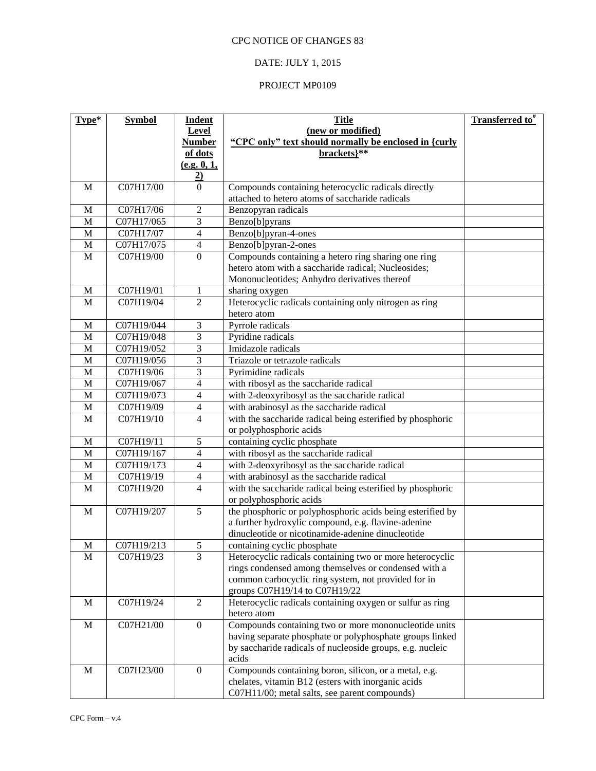# DATE: JULY 1, 2015

| Type*        | <b>Symbol</b> | <b>Indent</b><br>Level | <b>Title</b><br>(new or modified)                          | Transferred to <sup>#</sup> |
|--------------|---------------|------------------------|------------------------------------------------------------|-----------------------------|
|              |               | <b>Number</b>          | "CPC only" text should normally be enclosed in {curly      |                             |
|              |               | of dots                | brackets}**                                                |                             |
|              |               | (e.g. 0, 1,            |                                                            |                             |
|              |               | $\overline{2}$         |                                                            |                             |
| M            | C07H17/00     | $\overline{0}$         | Compounds containing heterocyclic radicals directly        |                             |
|              |               |                        | attached to hetero atoms of saccharide radicals            |                             |
| M            | C07H17/06     | $\overline{2}$         | Benzopyran radicals                                        |                             |
| M            | C07H17/065    | 3                      | Benzo[b]pyrans                                             |                             |
| M            | C07H17/07     | 4                      | Benzo[b]pyran-4-ones                                       |                             |
| M            | C07H17/075    | $\overline{4}$         | Benzo[b]pyran-2-ones                                       |                             |
| M            | C07H19/00     | $\mathbf{0}$           | Compounds containing a hetero ring sharing one ring        |                             |
|              |               |                        | hetero atom with a saccharide radical; Nucleosides;        |                             |
|              |               |                        | Mononucleotides; Anhydro derivatives thereof               |                             |
| M            | C07H19/01     | 1                      | sharing oxygen                                             |                             |
| M            | C07H19/04     | $\overline{2}$         | Heterocyclic radicals containing only nitrogen as ring     |                             |
|              |               |                        | hetero atom                                                |                             |
| M            | C07H19/044    | 3                      | Pyrrole radicals                                           |                             |
| M            | C07H19/048    | 3                      | Pyridine radicals                                          |                             |
| M            | C07H19/052    | 3                      | Imidazole radicals                                         |                             |
| M            | C07H19/056    | 3                      | Triazole or tetrazole radicals                             |                             |
| M            | C07H19/06     | 3                      | Pyrimidine radicals                                        |                             |
| $\mathbf{M}$ | C07H19/067    | 4                      | with ribosyl as the saccharide radical                     |                             |
| M            | C07H19/073    | 4                      | with 2-deoxyribosyl as the saccharide radical              |                             |
| $\mathbf M$  | C07H19/09     | 4                      | with arabinosyl as the saccharide radical                  |                             |
| M            | C07H19/10     | 4                      | with the saccharide radical being esterified by phosphoric |                             |
| M            | C07H19/11     | 5                      | or polyphosphoric acids<br>containing cyclic phosphate     |                             |
| $\mathbf M$  | C07H19/167    | $\overline{4}$         | with ribosyl as the saccharide radical                     |                             |
| M            | C07H19/173    | $\overline{4}$         | with 2-deoxyribosyl as the saccharide radical              |                             |
| $\mathbf M$  | C07H19/19     | 4                      | with arabinosyl as the saccharide radical                  |                             |
| M            | C07H19/20     | 4                      | with the saccharide radical being esterified by phosphoric |                             |
|              |               |                        | or polyphosphoric acids                                    |                             |
| M            | C07H19/207    | 5                      | the phosphoric or polyphosphoric acids being esterified by |                             |
|              |               |                        | a further hydroxylic compound, e.g. flavine-adenine        |                             |
|              |               |                        | dinucleotide or nicotinamide-adenine dinucleotide          |                             |
| M            | C07H19/213    | 5                      | containing cyclic phosphate                                |                             |
| $\mathbf M$  | C07H19/23     | 3                      | Heterocyclic radicals containing two or more heterocyclic  |                             |
|              |               |                        | rings condensed among themselves or condensed with a       |                             |
|              |               |                        | common carbocyclic ring system, not provided for in        |                             |
|              |               |                        | groups C07H19/14 to C07H19/22                              |                             |
| $\mathbf M$  | C07H19/24     | $\sqrt{2}$             | Heterocyclic radicals containing oxygen or sulfur as ring  |                             |
|              |               |                        | hetero atom                                                |                             |
| $\mathbf M$  | C07H21/00     | $\boldsymbol{0}$       | Compounds containing two or more mononucleotide units      |                             |
|              |               |                        | having separate phosphate or polyphosphate groups linked   |                             |
|              |               |                        | by saccharide radicals of nucleoside groups, e.g. nucleic  |                             |
|              |               |                        | acids                                                      |                             |
| $\mathbf{M}$ | C07H23/00     | $\mathbf{0}$           | Compounds containing boron, silicon, or a metal, e.g.      |                             |
|              |               |                        | chelates, vitamin B12 (esters with inorganic acids         |                             |
|              |               |                        | C07H11/00; metal salts, see parent compounds)              |                             |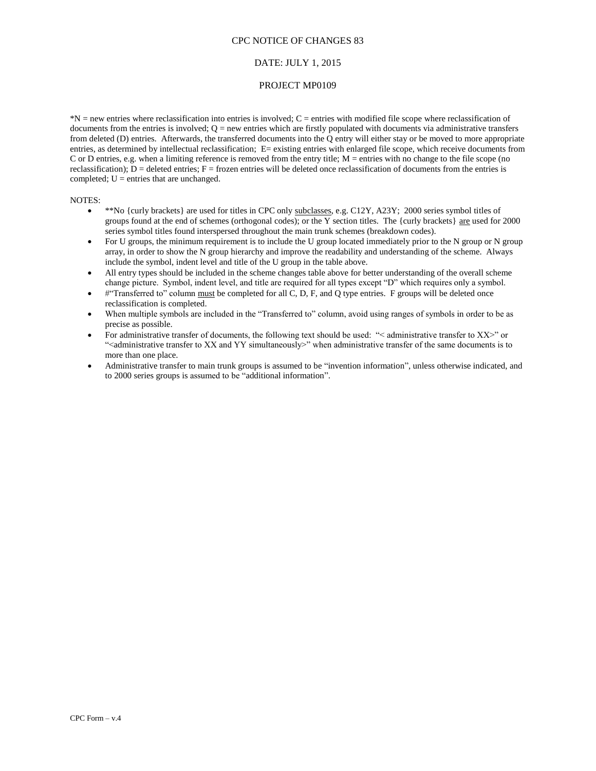### DATE: JULY 1, 2015

#### PROJECT MP0109

\*N = new entries where reclassification into entries is involved; C = entries with modified file scope where reclassification of documents from the entries is involved;  $Q =$  new entries which are firstly populated with documents via administrative transfers from deleted (D) entries. Afterwards, the transferred documents into the Q entry will either stay or be moved to more appropriate entries, as determined by intellectual reclassification; E= existing entries with enlarged file scope, which receive documents from C or D entries, e.g. when a limiting reference is removed from the entry title;  $M =$  entries with no change to the file scope (no reclassification);  $D =$  deleted entries;  $F =$  frozen entries will be deleted once reclassification of documents from the entries is completed;  $U =$  entries that are unchanged.

#### NOTES:

- $\bullet$  \*\*No {curly brackets} are used for titles in CPC only subclasses, e.g. C12Y, A23Y; 2000 series symbol titles of groups found at the end of schemes (orthogonal codes); or the Y section titles. The {curly brackets}  $\frac{1}{\text{are}}$  used for 2000 series symbol titles found interspersed throughout the main trunk schemes (breakdown codes).
- For U groups, the minimum requirement is to include the U group located immediately prior to the N group or N group array, in order to show the N group hierarchy and improve the readability and understanding of the scheme. Always include the symbol, indent level and title of the U group in the table above.
- All entry types should be included in the scheme changes table above for better understanding of the overall scheme change picture. Symbol, indent level, and title are required for all types except "D" which requires only a symbol.
- #"Transferred to" column must be completed for all C, D, F, and Q type entries. F groups will be deleted once reclassification is completed.
- When multiple symbols are included in the "Transferred to" column, avoid using ranges of symbols in order to be as precise as possible.
- For administrative transfer of documents, the following text should be used: "< administrative transfer to XX>" or "<administrative transfer to XX and YY simultaneously>" when administrative transfer of the same documents is to more than one place.
- Administrative transfer to main trunk groups is assumed to be "invention information", unless otherwise indicated, and to 2000 series groups is assumed to be "additional information".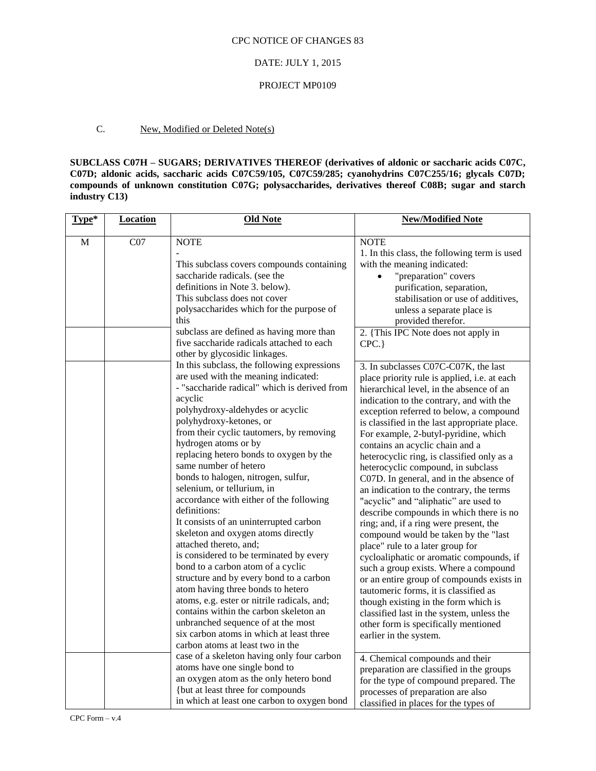### DATE: JULY 1, 2015

#### PROJECT MP0109

### C. New, Modified or Deleted Note(s)

**SUBCLASS C07H – SUGARS; DERIVATIVES THEREOF (derivatives of aldonic or saccharic acids C07C, C07D; aldonic acids, saccharic acids C07C59/105, C07C59/285; cyanohydrins C07C255/16; glycals C07D; compounds of unknown constitution C07G; polysaccharides, derivatives thereof C08B; sugar and starch industry C13)** 

| Type*        | <b>Location</b> | <b>Old Note</b>                                                                                                                                                                                                                                                                                                                                                                                                                                                                                                                                                                                                                                                                                                                                                                                                                                                                                                                                                                | <b>New/Modified Note</b>                                                                                                                                                                                                                                                                                                                                                                                                                                                                                                                                                                                                                                                                                                                                                                                                                                                                                                                                                                                                                                                  |
|--------------|-----------------|--------------------------------------------------------------------------------------------------------------------------------------------------------------------------------------------------------------------------------------------------------------------------------------------------------------------------------------------------------------------------------------------------------------------------------------------------------------------------------------------------------------------------------------------------------------------------------------------------------------------------------------------------------------------------------------------------------------------------------------------------------------------------------------------------------------------------------------------------------------------------------------------------------------------------------------------------------------------------------|---------------------------------------------------------------------------------------------------------------------------------------------------------------------------------------------------------------------------------------------------------------------------------------------------------------------------------------------------------------------------------------------------------------------------------------------------------------------------------------------------------------------------------------------------------------------------------------------------------------------------------------------------------------------------------------------------------------------------------------------------------------------------------------------------------------------------------------------------------------------------------------------------------------------------------------------------------------------------------------------------------------------------------------------------------------------------|
| $\mathbf{M}$ | CO7             | <b>NOTE</b><br>This subclass covers compounds containing<br>saccharide radicals. (see the<br>definitions in Note 3. below).<br>This subclass does not cover<br>polysaccharides which for the purpose of<br>this<br>subclass are defined as having more than<br>five saccharide radicals attached to each<br>other by glycosidic linkages.                                                                                                                                                                                                                                                                                                                                                                                                                                                                                                                                                                                                                                      | <b>NOTE</b><br>1. In this class, the following term is used<br>with the meaning indicated:<br>"preparation" covers<br>$\bullet$<br>purification, separation,<br>stabilisation or use of additives,<br>unless a separate place is<br>provided therefor.<br>2. {This IPC Note does not apply in<br>CPC.                                                                                                                                                                                                                                                                                                                                                                                                                                                                                                                                                                                                                                                                                                                                                                     |
|              |                 | In this subclass, the following expressions<br>are used with the meaning indicated:<br>- "saccharide radical" which is derived from<br>acyclic<br>polyhydroxy-aldehydes or acyclic<br>polyhydroxy-ketones, or<br>from their cyclic tautomers, by removing<br>hydrogen atoms or by<br>replacing hetero bonds to oxygen by the<br>same number of hetero<br>bonds to halogen, nitrogen, sulfur,<br>selenium, or tellurium, in<br>accordance with either of the following<br>definitions:<br>It consists of an uninterrupted carbon<br>skeleton and oxygen atoms directly<br>attached thereto, and;<br>is considered to be terminated by every<br>bond to a carbon atom of a cyclic<br>structure and by every bond to a carbon<br>atom having three bonds to hetero<br>atoms, e.g. ester or nitrile radicals, and;<br>contains within the carbon skeleton an<br>unbranched sequence of at the most<br>six carbon atoms in which at least three<br>carbon atoms at least two in the | 3. In subclasses C07C-C07K, the last<br>place priority rule is applied, i.e. at each<br>hierarchical level, in the absence of an<br>indication to the contrary, and with the<br>exception referred to below, a compound<br>is classified in the last appropriate place.<br>For example, 2-butyl-pyridine, which<br>contains an acyclic chain and a<br>heterocyclic ring, is classified only as a<br>heterocyclic compound, in subclass<br>C07D. In general, and in the absence of<br>an indication to the contrary, the terms<br>"acyclic" and "aliphatic" are used to<br>describe compounds in which there is no<br>ring; and, if a ring were present, the<br>compound would be taken by the "last<br>place" rule to a later group for<br>cycloaliphatic or aromatic compounds, if<br>such a group exists. Where a compound<br>or an entire group of compounds exists in<br>tautomeric forms, it is classified as<br>though existing in the form which is<br>classified last in the system, unless the<br>other form is specifically mentioned<br>earlier in the system. |
|              |                 | case of a skeleton having only four carbon<br>atoms have one single bond to<br>an oxygen atom as the only hetero bond<br>{but at least three for compounds<br>in which at least one carbon to oxygen bond                                                                                                                                                                                                                                                                                                                                                                                                                                                                                                                                                                                                                                                                                                                                                                      | 4. Chemical compounds and their<br>preparation are classified in the groups<br>for the type of compound prepared. The<br>processes of preparation are also<br>classified in places for the types of                                                                                                                                                                                                                                                                                                                                                                                                                                                                                                                                                                                                                                                                                                                                                                                                                                                                       |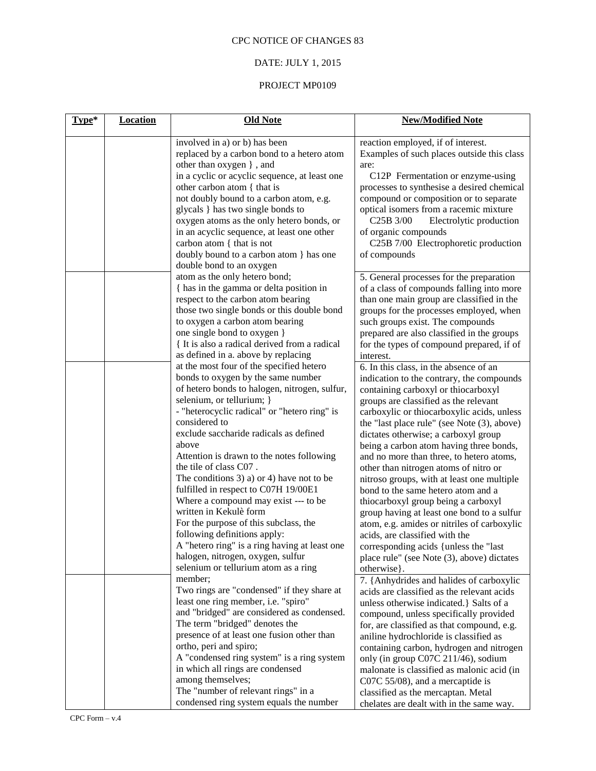# DATE: JULY 1, 2015

| Type* | <b>Location</b> | <b>Old Note</b>                                                             | <b>New/Modified Note</b>                                                            |
|-------|-----------------|-----------------------------------------------------------------------------|-------------------------------------------------------------------------------------|
|       |                 | involved in a) or b) has been<br>replaced by a carbon bond to a hetero atom | reaction employed, if of interest.<br>Examples of such places outside this class    |
|       |                 | other than oxygen }, and                                                    | are:                                                                                |
|       |                 | in a cyclic or acyclic sequence, at least one                               | C12P Fermentation or enzyme-using                                                   |
|       |                 | other carbon atom { that is                                                 | processes to synthesise a desired chemical                                          |
|       |                 | not doubly bound to a carbon atom, e.g.                                     | compound or composition or to separate                                              |
|       |                 | glycals } has two single bonds to                                           | optical isomers from a racemic mixture                                              |
|       |                 | oxygen atoms as the only hetero bonds, or                                   | C <sub>25</sub> B 3/00<br>Electrolytic production                                   |
|       |                 | in an acyclic sequence, at least one other                                  | of organic compounds                                                                |
|       |                 | carbon atom { that is not                                                   | C25B 7/00 Electrophoretic production                                                |
|       |                 | doubly bound to a carbon atom } has one                                     | of compounds                                                                        |
|       |                 | double bond to an oxygen                                                    |                                                                                     |
|       |                 | atom as the only hetero bond;                                               | 5. General processes for the preparation                                            |
|       |                 | { has in the gamma or delta position in                                     | of a class of compounds falling into more                                           |
|       |                 | respect to the carbon atom bearing                                          | than one main group are classified in the                                           |
|       |                 | those two single bonds or this double bond                                  | groups for the processes employed, when                                             |
|       |                 | to oxygen a carbon atom bearing                                             | such groups exist. The compounds                                                    |
|       |                 | one single bond to oxygen }                                                 | prepared are also classified in the groups                                          |
|       |                 | { It is also a radical derived from a radical                               | for the types of compound prepared, if of                                           |
|       |                 | as defined in a. above by replacing                                         | interest.                                                                           |
|       |                 | at the most four of the specified hetero                                    | 6. In this class, in the absence of an                                              |
|       |                 | bonds to oxygen by the same number                                          | indication to the contrary, the compounds                                           |
|       |                 | of hetero bonds to halogen, nitrogen, sulfur,                               | containing carboxyl or thiocarboxyl                                                 |
|       |                 | selenium, or tellurium; }                                                   | groups are classified as the relevant                                               |
|       |                 | - "heterocyclic radical" or "hetero ring" is<br>considered to               | carboxylic or thiocarboxylic acids, unless                                          |
|       |                 | exclude saccharide radicals as defined                                      | the "last place rule" (see Note (3), above)                                         |
|       |                 | above                                                                       | dictates otherwise; a carboxyl group                                                |
|       |                 | Attention is drawn to the notes following                                   | being a carbon atom having three bonds,<br>and no more than three, to hetero atoms, |
|       |                 | the tile of class C07.                                                      | other than nitrogen atoms of nitro or                                               |
|       |                 | The conditions $3$ ) a) or $4$ ) have not to be                             | nitroso groups, with at least one multiple                                          |
|       |                 | fulfilled in respect to C07H 19/00E1                                        | bond to the same hetero atom and a                                                  |
|       |                 | Where a compound may exist --- to be                                        | thiocarboxyl group being a carboxyl                                                 |
|       |                 | written in Kekulè form                                                      | group having at least one bond to a sulfur                                          |
|       |                 | For the purpose of this subclass, the                                       | atom, e.g. amides or nitriles of carboxylic                                         |
|       |                 | following definitions apply:                                                | acids, are classified with the                                                      |
|       |                 | A "hetero ring" is a ring having at least one                               | corresponding acids {unless the "last"                                              |
|       |                 | halogen, nitrogen, oxygen, sulfur                                           | place rule" (see Note (3), above) dictates                                          |
|       |                 | selenium or tellurium atom as a ring                                        | otherwise }.                                                                        |
|       |                 | member;                                                                     | 7. {Anhydrides and halides of carboxylic                                            |
|       |                 | Two rings are "condensed" if they share at                                  | acids are classified as the relevant acids                                          |
|       |                 | least one ring member, i.e. "spiro"                                         | unless otherwise indicated. } Salts of a                                            |
|       |                 | and "bridged" are considered as condensed.                                  | compound, unless specifically provided                                              |
|       |                 | The term "bridged" denotes the                                              | for, are classified as that compound, e.g.                                          |
|       |                 | presence of at least one fusion other than                                  | aniline hydrochloride is classified as                                              |
|       |                 | ortho, peri and spiro;                                                      | containing carbon, hydrogen and nitrogen                                            |
|       |                 | A "condensed ring system" is a ring system                                  | only (in group C07C 211/46), sodium                                                 |
|       |                 | in which all rings are condensed                                            | malonate is classified as malonic acid (in                                          |
|       |                 | among themselves;                                                           | C07C 55/08), and a mercaptide is                                                    |
|       |                 | The "number of relevant rings" in a                                         | classified as the mercaptan. Metal                                                  |
|       |                 | condensed ring system equals the number                                     | chelates are dealt with in the same way.                                            |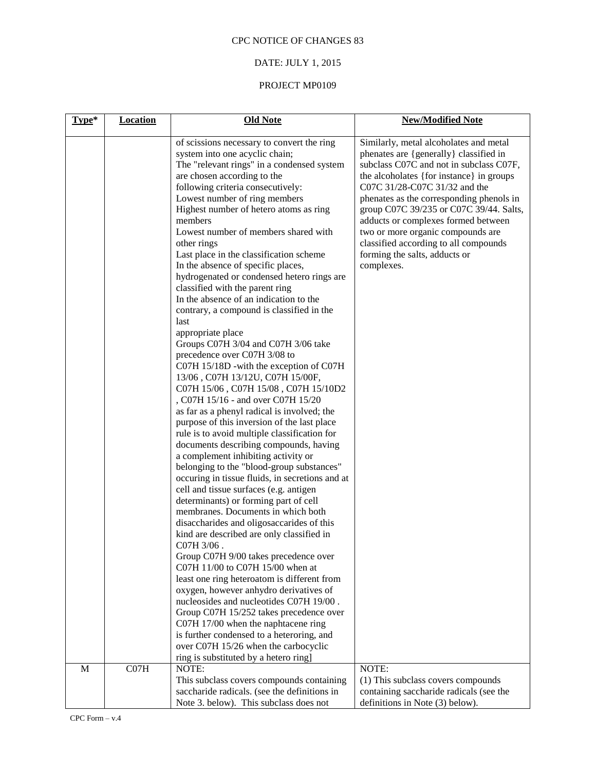# DATE: JULY 1, 2015

| Type*       | <b>Location</b> | <b>Old Note</b>                                                                                                                                                                                                                                                                                                                                                                                                                                                                                                                                                                                                                                                                                                                                                                                                                                                                                                                                                                                                                                                                                                                                                                                                                                                                                                                                                                                                                                                                                                                                                                                                                                                                                                                                                                                                                             | <b>New/Modified Note</b>                                                                                                                                                                                                                                                                                                                                                                                                                                            |
|-------------|-----------------|---------------------------------------------------------------------------------------------------------------------------------------------------------------------------------------------------------------------------------------------------------------------------------------------------------------------------------------------------------------------------------------------------------------------------------------------------------------------------------------------------------------------------------------------------------------------------------------------------------------------------------------------------------------------------------------------------------------------------------------------------------------------------------------------------------------------------------------------------------------------------------------------------------------------------------------------------------------------------------------------------------------------------------------------------------------------------------------------------------------------------------------------------------------------------------------------------------------------------------------------------------------------------------------------------------------------------------------------------------------------------------------------------------------------------------------------------------------------------------------------------------------------------------------------------------------------------------------------------------------------------------------------------------------------------------------------------------------------------------------------------------------------------------------------------------------------------------------------|---------------------------------------------------------------------------------------------------------------------------------------------------------------------------------------------------------------------------------------------------------------------------------------------------------------------------------------------------------------------------------------------------------------------------------------------------------------------|
|             |                 | of scissions necessary to convert the ring<br>system into one acyclic chain;<br>The "relevant rings" in a condensed system<br>are chosen according to the<br>following criteria consecutively:<br>Lowest number of ring members<br>Highest number of hetero atoms as ring<br>members<br>Lowest number of members shared with<br>other rings<br>Last place in the classification scheme<br>In the absence of specific places,<br>hydrogenated or condensed hetero rings are<br>classified with the parent ring<br>In the absence of an indication to the<br>contrary, a compound is classified in the<br>last<br>appropriate place<br>Groups C07H 3/04 and C07H 3/06 take<br>precedence over C07H 3/08 to<br>C07H 15/18D - with the exception of C07H<br>13/06, C07H 13/12U, C07H 15/00F,<br>C07H 15/06, C07H 15/08, C07H 15/10D2<br>, C07H 15/16 - and over C07H 15/20<br>as far as a phenyl radical is involved; the<br>purpose of this inversion of the last place<br>rule is to avoid multiple classification for<br>documents describing compounds, having<br>a complement inhibiting activity or<br>belonging to the "blood-group substances"<br>occuring in tissue fluids, in secretions and at<br>cell and tissue surfaces (e.g. antigen<br>determinants) or forming part of cell<br>membranes. Documents in which both<br>disaccharides and oligosaccarides of this<br>kind are described are only classified in<br>C <sub>07</sub> H 3/06.<br>Group C07H 9/00 takes precedence over<br>C07H 11/00 to C07H 15/00 when at<br>least one ring heteroatom is different from<br>oxygen, however anhydro derivatives of<br>nucleosides and nucleotides C07H 19/00.<br>Group C07H 15/252 takes precedence over<br>C07H 17/00 when the naphtacene ring<br>is further condensed to a heteroring, and<br>over C07H 15/26 when the carbocyclic | Similarly, metal alcoholates and metal<br>phenates are {generally} classified in<br>subclass C07C and not in subclass C07F,<br>the alcoholates {for instance} in groups<br>C07C 31/28-C07C 31/32 and the<br>phenates as the corresponding phenols in<br>group C07C 39/235 or C07C 39/44. Salts,<br>adducts or complexes formed between<br>two or more organic compounds are<br>classified according to all compounds<br>forming the salts, adducts or<br>complexes. |
| $\mathbf M$ | CO7H            | ring is substituted by a hetero ring]<br>NOTE:                                                                                                                                                                                                                                                                                                                                                                                                                                                                                                                                                                                                                                                                                                                                                                                                                                                                                                                                                                                                                                                                                                                                                                                                                                                                                                                                                                                                                                                                                                                                                                                                                                                                                                                                                                                              | NOTE:                                                                                                                                                                                                                                                                                                                                                                                                                                                               |
|             |                 | This subclass covers compounds containing                                                                                                                                                                                                                                                                                                                                                                                                                                                                                                                                                                                                                                                                                                                                                                                                                                                                                                                                                                                                                                                                                                                                                                                                                                                                                                                                                                                                                                                                                                                                                                                                                                                                                                                                                                                                   | (1) This subclass covers compounds                                                                                                                                                                                                                                                                                                                                                                                                                                  |
|             |                 | saccharide radicals. (see the definitions in<br>Note 3. below). This subclass does not                                                                                                                                                                                                                                                                                                                                                                                                                                                                                                                                                                                                                                                                                                                                                                                                                                                                                                                                                                                                                                                                                                                                                                                                                                                                                                                                                                                                                                                                                                                                                                                                                                                                                                                                                      | containing saccharide radicals (see the<br>definitions in Note (3) below).                                                                                                                                                                                                                                                                                                                                                                                          |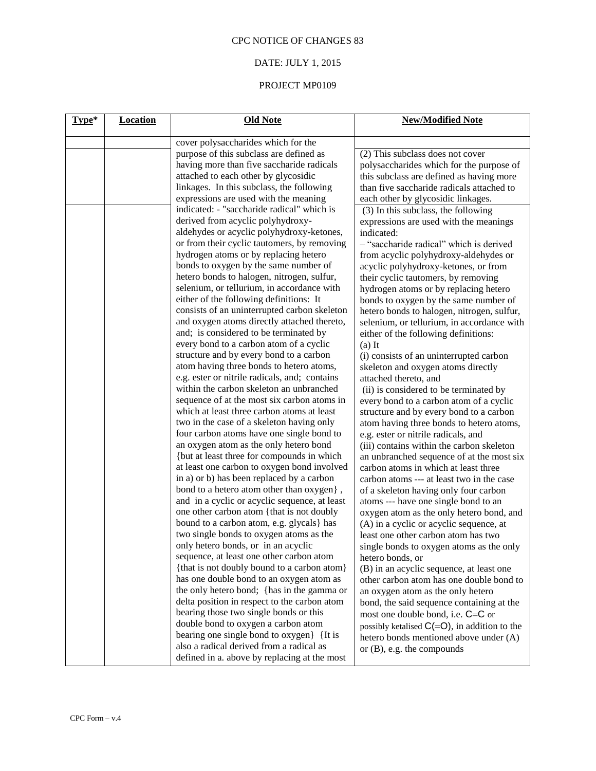# DATE: JULY 1, 2015

| Type* | <b>Location</b> | <b>Old Note</b>                               | <b>New/Modified Note</b>                        |
|-------|-----------------|-----------------------------------------------|-------------------------------------------------|
|       |                 | cover polysaccharides which for the           |                                                 |
|       |                 | purpose of this subclass are defined as       | (2) This subclass does not cover                |
|       |                 | having more than five saccharide radicals     | polysaccharides which for the purpose of        |
|       |                 | attached to each other by glycosidic          | this subclass are defined as having more        |
|       |                 | linkages. In this subclass, the following     | than five saccharide radicals attached to       |
|       |                 | expressions are used with the meaning         | each other by glycosidic linkages.              |
|       |                 | indicated: - "saccharide radical" which is    | (3) In this subclass, the following             |
|       |                 | derived from acyclic polyhydroxy-             | expressions are used with the meanings          |
|       |                 | aldehydes or acyclic polyhydroxy-ketones,     | indicated:                                      |
|       |                 | or from their cyclic tautomers, by removing   | - "saccharide radical" which is derived         |
|       |                 | hydrogen atoms or by replacing hetero         | from acyclic polyhydroxy-aldehydes or           |
|       |                 | bonds to oxygen by the same number of         | acyclic polyhydroxy-ketones, or from            |
|       |                 | hetero bonds to halogen, nitrogen, sulfur,    | their cyclic tautomers, by removing             |
|       |                 | selenium, or tellurium, in accordance with    | hydrogen atoms or by replacing hetero           |
|       |                 | either of the following definitions: It       | bonds to oxygen by the same number of           |
|       |                 | consists of an uninterrupted carbon skeleton  | hetero bonds to halogen, nitrogen, sulfur,      |
|       |                 | and oxygen atoms directly attached thereto,   | selenium, or tellurium, in accordance with      |
|       |                 | and; is considered to be terminated by        | either of the following definitions:            |
|       |                 | every bond to a carbon atom of a cyclic       | $(a)$ It                                        |
|       |                 | structure and by every bond to a carbon       | (i) consists of an uninterrupted carbon         |
|       |                 | atom having three bonds to hetero atoms,      | skeleton and oxygen atoms directly              |
|       |                 | e.g. ester or nitrile radicals, and; contains | attached thereto, and                           |
|       |                 | within the carbon skeleton an unbranched      | (ii) is considered to be terminated by          |
|       |                 | sequence of at the most six carbon atoms in   | every bond to a carbon atom of a cyclic         |
|       |                 | which at least three carbon atoms at least    | structure and by every bond to a carbon         |
|       |                 | two in the case of a skeleton having only     | atom having three bonds to hetero atoms,        |
|       |                 | four carbon atoms have one single bond to     | e.g. ester or nitrile radicals, and             |
|       |                 | an oxygen atom as the only hetero bond        | (iii) contains within the carbon skeleton       |
|       |                 | {but at least three for compounds in which    | an unbranched sequence of at the most six       |
|       |                 | at least one carbon to oxygen bond involved   | carbon atoms in which at least three            |
|       |                 | in a) or b) has been replaced by a carbon     | carbon atoms --- at least two in the case       |
|       |                 | bond to a hetero atom other than oxygen},     | of a skeleton having only four carbon           |
|       |                 | and in a cyclic or acyclic sequence, at least | atoms --- have one single bond to an            |
|       |                 | one other carbon atom {that is not doubly     | oxygen atom as the only hetero bond, and        |
|       |                 | bound to a carbon atom, e.g. glycals} has     | (A) in a cyclic or acyclic sequence, at         |
|       |                 | two single bonds to oxygen atoms as the       | least one other carbon atom has two             |
|       |                 | only hetero bonds, or in an acyclic           | single bonds to oxygen atoms as the only        |
|       |                 | sequence, at least one other carbon atom      | hetero bonds, or                                |
|       |                 | {that is not doubly bound to a carbon atom}   | (B) in an acyclic sequence, at least one        |
|       |                 | has one double bond to an oxygen atom as      | other carbon atom has one double bond to        |
|       |                 | the only hetero bond; {has in the gamma or    | an oxygen atom as the only hetero               |
|       |                 | delta position in respect to the carbon atom  | bond, the said sequence containing at the       |
|       |                 | bearing those two single bonds or this        | most one double bond, i.e. C=C or               |
|       |                 | double bond to oxygen a carbon atom           | possibly ketalised $C(=O)$ , in addition to the |
|       |                 | bearing one single bond to oxygen} {It is     | hetero bonds mentioned above under (A)          |
|       |                 | also a radical derived from a radical as      | or $(B)$ , e.g. the compounds                   |
|       |                 | defined in a. above by replacing at the most  |                                                 |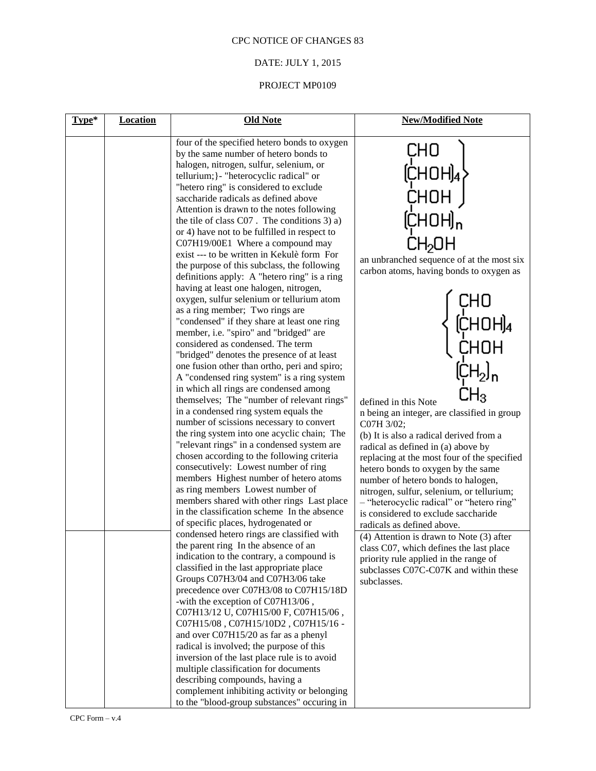# DATE: JULY 1, 2015

| Type* | <b>Location</b> | <b>Old Note</b>                                                                                                                                                                                                                                                                                                                                                                                                                                                                                                                                                                                                                                                                                                                                                                                                                                                                                                                                                                                                                                                                                                                                                                                                                                                                                                                                                                                                                                                                                                                                                                        | <b>New/Modified Note</b>                                                                                                                                                                                                                                                                                                                                                                                                                                                                                                      |
|-------|-----------------|----------------------------------------------------------------------------------------------------------------------------------------------------------------------------------------------------------------------------------------------------------------------------------------------------------------------------------------------------------------------------------------------------------------------------------------------------------------------------------------------------------------------------------------------------------------------------------------------------------------------------------------------------------------------------------------------------------------------------------------------------------------------------------------------------------------------------------------------------------------------------------------------------------------------------------------------------------------------------------------------------------------------------------------------------------------------------------------------------------------------------------------------------------------------------------------------------------------------------------------------------------------------------------------------------------------------------------------------------------------------------------------------------------------------------------------------------------------------------------------------------------------------------------------------------------------------------------------|-------------------------------------------------------------------------------------------------------------------------------------------------------------------------------------------------------------------------------------------------------------------------------------------------------------------------------------------------------------------------------------------------------------------------------------------------------------------------------------------------------------------------------|
|       |                 | four of the specified hetero bonds to oxygen<br>by the same number of hetero bonds to<br>halogen, nitrogen, sulfur, selenium, or<br>tellurium; }- "heterocyclic radical" or<br>"hetero ring" is considered to exclude<br>saccharide radicals as defined above<br>Attention is drawn to the notes following<br>the tile of class $C_{07}$ . The conditions 3) a)<br>or 4) have not to be fulfilled in respect to<br>C07H19/00E1 Where a compound may<br>exist --- to be written in Kekulè form For<br>the purpose of this subclass, the following<br>definitions apply: A "hetero ring" is a ring<br>having at least one halogen, nitrogen,<br>oxygen, sulfur selenium or tellurium atom<br>as a ring member; Two rings are<br>"condensed" if they share at least one ring<br>member, i.e. "spiro" and "bridged" are<br>considered as condensed. The term<br>"bridged" denotes the presence of at least<br>one fusion other than ortho, peri and spiro;<br>A "condensed ring system" is a ring system<br>in which all rings are condensed among<br>themselves; The "number of relevant rings"<br>in a condensed ring system equals the<br>number of scissions necessary to convert<br>the ring system into one acyclic chain; The<br>"relevant rings" in a condensed system are<br>chosen according to the following criteria<br>consecutively: Lowest number of ring<br>members Highest number of hetero atoms<br>as ring members Lowest number of<br>members shared with other rings Last place<br>in the classification scheme In the absence<br>of specific places, hydrogenated or | CHO<br>an unbranched sequence of at the most six<br>carbon atoms, having bonds to oxygen as<br>defined in this Note<br>n being an integer, are classified in group<br>C07H 3/02;<br>(b) It is also a radical derived from a<br>radical as defined in (a) above by<br>replacing at the most four of the specified<br>hetero bonds to oxygen by the same<br>number of hetero bonds to halogen,<br>nitrogen, sulfur, selenium, or tellurium;<br>- "heterocyclic radical" or "hetero ring"<br>is considered to exclude saccharide |
|       |                 | condensed hetero rings are classified with<br>the parent ring In the absence of an<br>indication to the contrary, a compound is<br>classified in the last appropriate place<br>Groups C07H3/04 and C07H3/06 take<br>precedence over C07H3/08 to C07H15/18D<br>-with the exception of C07H13/06,<br>C07H13/12 U, C07H15/00 F, C07H15/06,<br>C07H15/08, C07H15/10D2, C07H15/16 -<br>and over C07H15/20 as far as a phenyl<br>radical is involved; the purpose of this<br>inversion of the last place rule is to avoid<br>multiple classification for documents<br>describing compounds, having a<br>complement inhibiting activity or belonging<br>to the "blood-group substances" occuring in                                                                                                                                                                                                                                                                                                                                                                                                                                                                                                                                                                                                                                                                                                                                                                                                                                                                                           | radicals as defined above.<br>(4) Attention is drawn to Note (3) after<br>class C07, which defines the last place<br>priority rule applied in the range of<br>subclasses C07C-C07K and within these<br>subclasses.                                                                                                                                                                                                                                                                                                            |